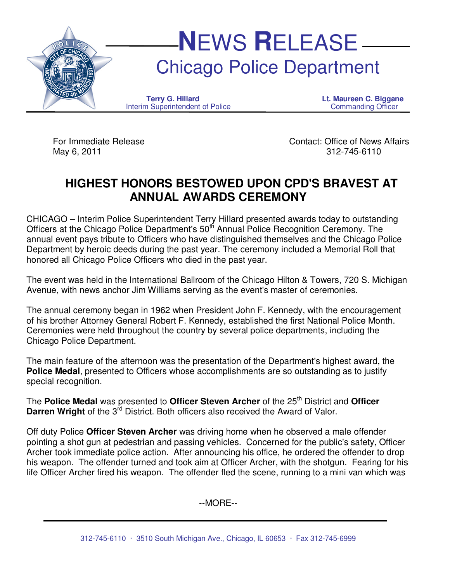

May 6, 2011 312-745-6110

For Immediate Release Contact: Office of News Affairs

# **HIGHEST HONORS BESTOWED UPON CPD'S BRAVEST AT ANNUAL AWARDS CEREMONY**

CHICAGO – Interim Police Superintendent Terry Hillard presented awards today to outstanding Officers at the Chicago Police Department's 50<sup>th</sup> Annual Police Recognition Ceremony. The annual event pays tribute to Officers who have distinguished themselves and the Chicago Police Department by heroic deeds during the past year. The ceremony included a Memorial Roll that honored all Chicago Police Officers who died in the past year.

The event was held in the International Ballroom of the Chicago Hilton & Towers, 720 S. Michigan Avenue, with news anchor Jim Williams serving as the event's master of ceremonies.

The annual ceremony began in 1962 when President John F. Kennedy, with the encouragement of his brother Attorney General Robert F. Kennedy, established the first National Police Month. Ceremonies were held throughout the country by several police departments, including the Chicago Police Department.

The main feature of the afternoon was the presentation of the Department's highest award, the **Police Medal**, presented to Officers whose accomplishments are so outstanding as to justify special recognition.

The **Police Medal** was presented to **Officer Steven Archer** of the 25<sup>th</sup> District and **Officer Darren Wright** of the 3<sup>rd</sup> District. Both officers also received the Award of Valor.

Off duty Police **Officer Steven Archer** was driving home when he observed a male offender pointing a shot gun at pedestrian and passing vehicles. Concerned for the public's safety, Officer Archer took immediate police action. After announcing his office, he ordered the offender to drop his weapon. The offender turned and took aim at Officer Archer, with the shotgun. Fearing for his life Officer Archer fired his weapon. The offender fled the scene, running to a mini van which was

--MORE--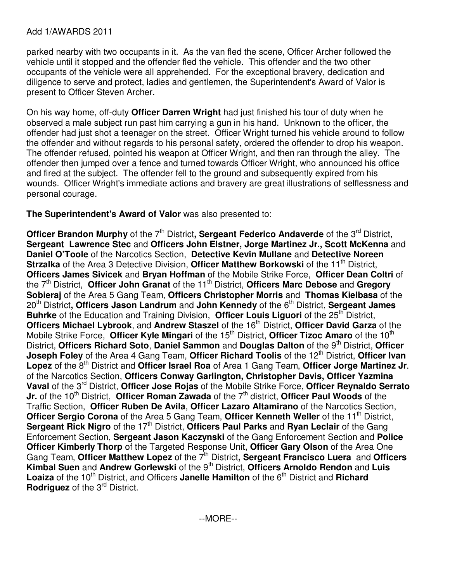## Add 1/AWARDS 2011

parked nearby with two occupants in it. As the van fled the scene, Officer Archer followed the vehicle until it stopped and the offender fled the vehicle. This offender and the two other occupants of the vehicle were all apprehended. For the exceptional bravery, dedication and diligence to serve and protect, ladies and gentlemen, the Superintendent's Award of Valor is present to Officer Steven Archer.

On his way home, off-duty **Officer Darren Wright** had just finished his tour of duty when he observed a male subject run past him carrying a gun in his hand. Unknown to the officer, the offender had just shot a teenager on the street. Officer Wright turned his vehicle around to follow the offender and without regards to his personal safety, ordered the offender to drop his weapon. The offender refused, pointed his weapon at Officer Wright, and then ran through the alley. The offender then jumped over a fence and turned towards Officer Wright, who announced his office and fired at the subject. The offender fell to the ground and subsequently expired from his wounds. Officer Wright's immediate actions and bravery are great illustrations of selflessness and personal courage.

# **The Superintendent's Award of Valor** was also presented to:

**Officer Brandon Murphy** of the 7<sup>th</sup> District, Sergeant Federico Andaverde of the 3<sup>rd</sup> District, **Sergeant Lawrence Stec** and **Officers John Elstner, Jorge Martinez Jr., Scott McKenna** and **Daniel O'Toole** of the Narcotics Section, **Detective Kevin Mullane** and **Detective Noreen Strzalka** of the Area 3 Detective Division, **Officer Matthew Borkowski** of the 11<sup>th</sup> District, **Officers James Sivicek** and **Bryan Hoffman** of the Mobile Strike Force, **Officer Dean Coltri** of the 7<sup>th</sup> District, **Officer John Granat** of the 11<sup>th</sup> District, **Officers Marc Debose** and **Gregory Sobieraj** of the Area 5 Gang Team, **Officers Christopher Morris** and **Thomas Kielbasa** of the 20th District**, Officers Jason Landrum** and **John Kennedy** of the 6th District, **Sergeant James Buhrke** of the Education and Training Division, **Officer Louis Liguori** of the 25<sup>th</sup> District, **Officers Michael Lybrook**, and Andrew Staszel of the 16<sup>th</sup> District, Officer David Garza of the Mobile Strike Force, **Officer Kyle Mingari** of the 15<sup>th</sup> District, **Officer Tizoc Amaro** of the 10<sup>th</sup> District, **Officers Richard Soto**, **Daniel Sammon** and **Douglas Dalton** of the 9th District, **Officer Joseph Foley** of the Area 4 Gang Team, Officer Richard Toolis of the 12<sup>th</sup> District, Officer Ivan Lopez of the 8<sup>th</sup> District and Officer Israel Roa of Area 1 Gang Team, Officer Jorge Martinez Jr. of the Narcotics Section, **Officers Conway Garlington, Christopher Davis, Officer Yazmina Vaval** of the 3rd District, **Officer Jose Rojas** of the Mobile Strike Force, **Officer Reynaldo Serrato Jr.** of the 10<sup>th</sup> District, **Officer Roman Zawada** of the 7<sup>th</sup> district, **Officer Paul Woods** of the Traffic Section, **Officer Ruben De Avila**, **Officer Lazaro Altamirano** of the Narcotics Section, **Officer Sergio Corona** of the Area 5 Gang Team, Officer Kenneth Weller of the 11<sup>th</sup> District, **Sergeant Rick Nigro** of the 17<sup>th</sup> District, Officers Paul Parks and Ryan Leclair of the Gang Enforcement Section, **Sergeant Jason Kaczynski** of the Gang Enforcement Section and **Police Officer Kimberly Thorp** of the Targeted Response Unit, **Officer Gary Olson** of the Area One Gang Team, Officer Matthew Lopez of the 7<sup>th</sup> District, Sergeant Francisco Luera and Officers Kimbal Suen and Andrew Gorlewski of the 9<sup>th</sup> District, Officers Arnoldo Rendon and Luis Loaiza of the 10<sup>th</sup> District, and Officers Janelle Hamilton of the 6<sup>th</sup> District and Richard **Rodriguez** of the 3<sup>rd</sup> District.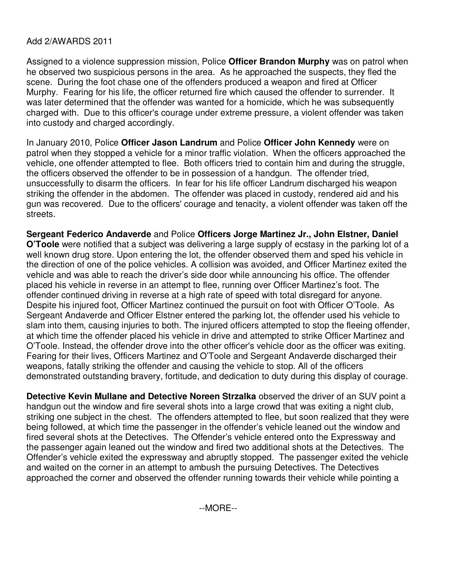# Add 2/AWARDS 2011

Assigned to a violence suppression mission, Police **Officer Brandon Murphy** was on patrol when he observed two suspicious persons in the area. As he approached the suspects, they fled the scene. During the foot chase one of the offenders produced a weapon and fired at Officer Murphy. Fearing for his life, the officer returned fire which caused the offender to surrender. It was later determined that the offender was wanted for a homicide, which he was subsequently charged with. Due to this officer's courage under extreme pressure, a violent offender was taken into custody and charged accordingly.

In January 2010, Police **Officer Jason Landrum** and Police **Officer John Kennedy** were on patrol when they stopped a vehicle for a minor traffic violation. When the officers approached the vehicle, one offender attempted to flee. Both officers tried to contain him and during the struggle, the officers observed the offender to be in possession of a handgun. The offender tried, unsuccessfully to disarm the officers. In fear for his life officer Landrum discharged his weapon striking the offender in the abdomen. The offender was placed in custody, rendered aid and his gun was recovered. Due to the officers' courage and tenacity, a violent offender was taken off the streets.

**Sergeant Federico Andaverde** and Police **Officers Jorge Martinez Jr., John Elstner, Daniel O'Toole** were notified that a subject was delivering a large supply of ecstasy in the parking lot of a well known drug store. Upon entering the lot, the offender observed them and sped his vehicle in the direction of one of the police vehicles. A collision was avoided, and Officer Martinez exited the vehicle and was able to reach the driver's side door while announcing his office. The offender placed his vehicle in reverse in an attempt to flee, running over Officer Martinez's foot. The offender continued driving in reverse at a high rate of speed with total disregard for anyone. Despite his injured foot, Officer Martinez continued the pursuit on foot with Officer O'Toole. As Sergeant Andaverde and Officer Elstner entered the parking lot, the offender used his vehicle to slam into them, causing injuries to both. The injured officers attempted to stop the fleeing offender, at which time the offender placed his vehicle in drive and attempted to strike Officer Martinez and O'Toole. Instead, the offender drove into the other officer's vehicle door as the officer was exiting. Fearing for their lives, Officers Martinez and O'Toole and Sergeant Andaverde discharged their weapons, fatally striking the offender and causing the vehicle to stop. All of the officers demonstrated outstanding bravery, fortitude, and dedication to duty during this display of courage.

**Detective Kevin Mullane and Detective Noreen Strzalka** observed the driver of an SUV point a handgun out the window and fire several shots into a large crowd that was exiting a night club, striking one subject in the chest. The offenders attempted to flee, but soon realized that they were being followed, at which time the passenger in the offender's vehicle leaned out the window and fired several shots at the Detectives. The Offender's vehicle entered onto the Expressway and the passenger again leaned out the window and fired two additional shots at the Detectives. The Offender's vehicle exited the expressway and abruptly stopped. The passenger exited the vehicle and waited on the corner in an attempt to ambush the pursuing Detectives. The Detectives approached the corner and observed the offender running towards their vehicle while pointing a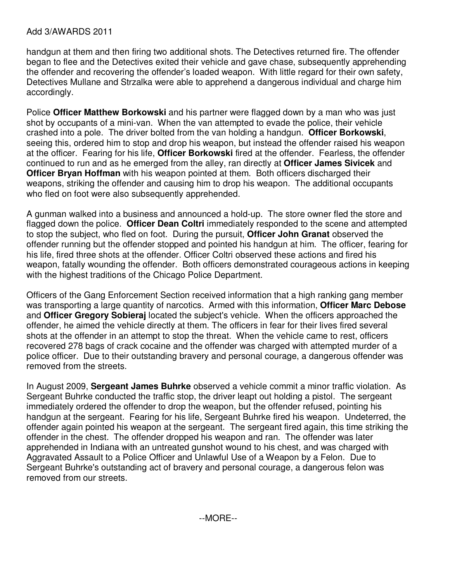#### Add 3/AWARDS 2011

handgun at them and then firing two additional shots. The Detectives returned fire. The offender began to flee and the Detectives exited their vehicle and gave chase, subsequently apprehending the offender and recovering the offender's loaded weapon. With little regard for their own safety, Detectives Mullane and Strzalka were able to apprehend a dangerous individual and charge him accordingly.

Police **Officer Matthew Borkowski** and his partner were flagged down by a man who was just shot by occupants of a mini-van. When the van attempted to evade the police, their vehicle crashed into a pole. The driver bolted from the van holding a handgun. **Officer Borkowski**, seeing this, ordered him to stop and drop his weapon, but instead the offender raised his weapon at the officer. Fearing for his life, **Officer Borkowski** fired at the offender. Fearless, the offender continued to run and as he emerged from the alley, ran directly at **Officer James Sivicek** and **Officer Bryan Hoffman** with his weapon pointed at them. Both officers discharged their weapons, striking the offender and causing him to drop his weapon. The additional occupants who fled on foot were also subsequently apprehended.

A gunman walked into a business and announced a hold-up. The store owner fled the store and flagged down the police. **Officer Dean Coltri** immediately responded to the scene and attempted to stop the subject, who fled on foot. During the pursuit, **Officer John Granat** observed the offender running but the offender stopped and pointed his handgun at him. The officer, fearing for his life, fired three shots at the offender. Officer Coltri observed these actions and fired his weapon, fatally wounding the offender. Both officers demonstrated courageous actions in keeping with the highest traditions of the Chicago Police Department.

Officers of the Gang Enforcement Section received information that a high ranking gang member was transporting a large quantity of narcotics. Armed with this information, **Officer Marc Debose** and **Officer Gregory Sobieraj** located the subject's vehicle. When the officers approached the offender, he aimed the vehicle directly at them. The officers in fear for their lives fired several shots at the offender in an attempt to stop the threat. When the vehicle came to rest, officers recovered 278 bags of crack cocaine and the offender was charged with attempted murder of a police officer. Due to their outstanding bravery and personal courage, a dangerous offender was removed from the streets.

In August 2009, **Sergeant James Buhrke** observed a vehicle commit a minor traffic violation. As Sergeant Buhrke conducted the traffic stop, the driver leapt out holding a pistol. The sergeant immediately ordered the offender to drop the weapon, but the offender refused, pointing his handgun at the sergeant. Fearing for his life, Sergeant Buhrke fired his weapon. Undeterred, the offender again pointed his weapon at the sergeant. The sergeant fired again, this time striking the offender in the chest. The offender dropped his weapon and ran. The offender was later apprehended in Indiana with an untreated gunshot wound to his chest, and was charged with Aggravated Assault to a Police Officer and Unlawful Use of a Weapon by a Felon. Due to Sergeant Buhrke's outstanding act of bravery and personal courage, a dangerous felon was removed from our streets.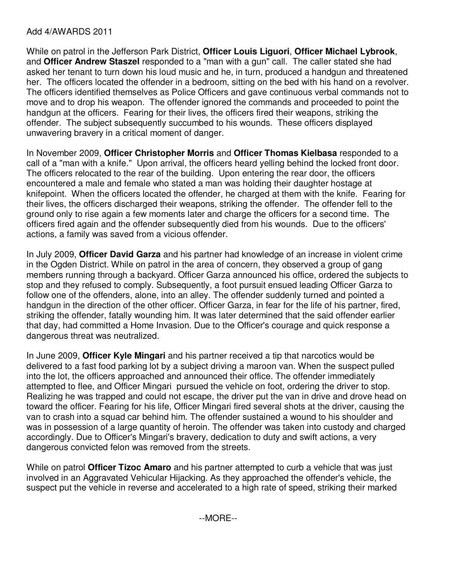# Add 4/AWARDS 2011

While on patrol in the Jefferson Park District, **Officer Louis Liguori**, **Officer Michael Lybrook**, and **Officer Andrew Staszel** responded to a "man with a gun" call. The caller stated she had asked her tenant to turn down his loud music and he, in turn, produced a handgun and threatened her. The officers located the offender in a bedroom, sitting on the bed with his hand on a revolver. The officers identified themselves as Police Officers and gave continuous verbal commands not to move and to drop his weapon. The offender ignored the commands and proceeded to point the handgun at the officers. Fearing for their lives, the officers fired their weapons, striking the offender. The subject subsequently succumbed to his wounds. These officers displayed unwavering bravery in a critical moment of danger.

In November 2009, **Officer Christopher Morris** and **Officer Thomas Kielbasa** responded to a call of a "man with a knife." Upon arrival, the officers heard yelling behind the locked front door. The officers relocated to the rear of the building. Upon entering the rear door, the officers encountered a male and female who stated a man was holding their daughter hostage at knifepoint. When the officers located the offender, he charged at them with the knife. Fearing for their lives, the officers discharged their weapons, striking the offender. The offender fell to the ground only to rise again a few moments later and charge the officers for a second time. The officers fired again and the offender subsequently died from his wounds. Due to the officers' actions, a family was saved from a vicious offender.

In July 2009, **Officer David Garza** and his partner had knowledge of an increase in violent crime in the Ogden District. While on patrol in the area of concern, they observed a group of gang members running through a backyard. Officer Garza announced his office, ordered the subjects to stop and they refused to comply. Subsequently, a foot pursuit ensued leading Officer Garza to follow one of the offenders, alone, into an alley. The offender suddenly turned and pointed a handgun in the direction of the other officer. Officer Garza, in fear for the life of his partner, fired, striking the offender, fatally wounding him. It was later determined that the said offender earlier that day, had committed a Home Invasion. Due to the Officer's courage and quick response a dangerous threat was neutralized.

In June 2009, **Officer Kyle Mingari** and his partner received a tip that narcotics would be delivered to a fast food parking lot by a subject driving a maroon van. When the suspect pulled into the lot, the officers approached and announced their office. The offender immediately attempted to flee, and Officer Mingari pursued the vehicle on foot, ordering the driver to stop. Realizing he was trapped and could not escape, the driver put the van in drive and drove head on toward the officer. Fearing for his life, Officer Mingari fired several shots at the driver, causing the van to crash into a squad car behind him. The offender sustained a wound to his shoulder and was in possession of a large quantity of heroin. The offender was taken into custody and charged accordingly. Due to Officer's Mingari's bravery, dedication to duty and swift actions, a very dangerous convicted felon was removed from the streets.

While on patrol **Officer Tizoc Amaro** and his partner attempted to curb a vehicle that was just involved in an Aggravated Vehicular Hijacking. As they approached the offender's vehicle, the suspect put the vehicle in reverse and accelerated to a high rate of speed, striking their marked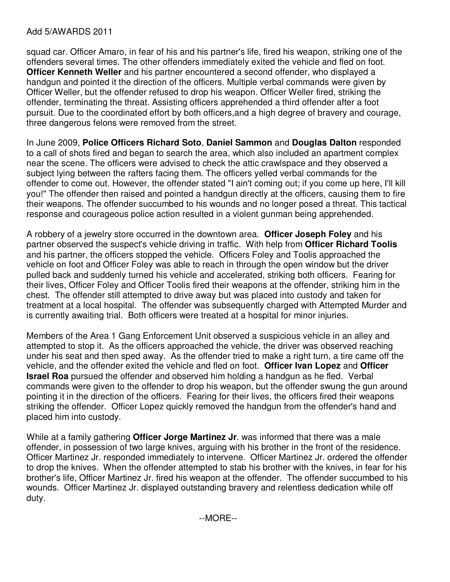### Add 5/AWARDS 2011

squad car. Officer Amaro, in fear of his and his partner's life, fired his weapon, striking one of the offenders several times. The other offenders immediately exited the vehicle and fled on foot. **Officer Kenneth Weller** and his partner encountered a second offender, who displayed a handgun and pointed it the direction of the officers. Multiple verbal commands were given by Officer Weller, but the offender refused to drop his weapon. Officer Weller fired, striking the offender, terminating the threat. Assisting officers apprehended a third offender after a foot pursuit. Due to the coordinated effort by both officers,and a high degree of bravery and courage, three dangerous felons were removed from the street.

In June 2009, **Police Officers Richard Soto**, **Daniel Sammon** and **Douglas Dalton** responded to a call of shots fired and began to search the area, which also included an apartment complex near the scene. The officers were advised to check the attic crawlspace and they observed a subject lying between the rafters facing them. The officers yelled verbal commands for the offender to come out. However, the offender stated "I ain't coming out; if you come up here, I'll kill you!" The offender then raised and pointed a handgun directly at the officers, causing them to fire their weapons. The offender succumbed to his wounds and no longer posed a threat. This tactical response and courageous police action resulted in a violent gunman being apprehended.

A robbery of a jewelry store occurred in the downtown area. **Officer Joseph Foley** and his partner observed the suspect's vehicle driving in traffic. With help from **Officer Richard Toolis**  and his partner, the officers stopped the vehicle. Officers Foley and Toolis approached the vehicle on foot and Officer Foley was able to reach in through the open window but the driver pulled back and suddenly turned his vehicle and accelerated, striking both officers. Fearing for their lives, Officer Foley and Officer Toolis fired their weapons at the offender, striking him in the chest. The offender still attempted to drive away but was placed into custody and taken for treatment at a local hospital. The offender was subsequently charged with Attempted Murder and is currently awaiting trial. Both officers were treated at a hospital for minor injuries.

Members of the Area 1 Gang Enforcement Unit observed a suspicious vehicle in an alley and attempted to stop it. As the officers approached the vehicle, the driver was observed reaching under his seat and then sped away. As the offender tried to make a right turn, a tire came off the vehicle, and the offender exited the vehicle and fled on foot. **Officer Ivan Lopez** and **Officer Israel Roa** pursued the offender and observed him holding a handgun as he fled. Verbal commands were given to the offender to drop his weapon, but the offender swung the gun around pointing it in the direction of the officers. Fearing for their lives, the officers fired their weapons striking the offender. Officer Lopez quickly removed the handgun from the offender's hand and placed him into custody.

While at a family gathering **Officer Jorge Martinez Jr**. was informed that there was a male offender, in possession of two large knives, arguing with his brother in the front of the residence. Officer Martinez Jr. responded immediately to intervene. Officer Martinez Jr. ordered the offender to drop the knives. When the offender attempted to stab his brother with the knives, in fear for his brother's life, Officer Martinez Jr. fired his weapon at the offender. The offender succumbed to his wounds. Officer Martinez Jr. displayed outstanding bravery and relentless dedication while off duty.

--MORE--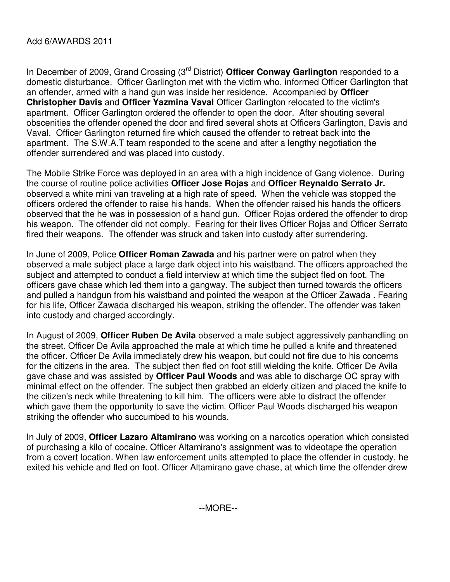## Add 6/AWARDS 2011

In December of 2009, Grand Crossing (3rd District) **Officer Conway Garlington** responded to a domestic disturbance. Officer Garlington met with the victim who, informed Officer Garlington that an offender, armed with a hand gun was inside her residence. Accompanied by **Officer Christopher Davis** and **Officer Yazmina Vaval** Officer Garlington relocated to the victim's apartment. Officer Garlington ordered the offender to open the door. After shouting several obscenities the offender opened the door and fired several shots at Officers Garlington, Davis and Vaval. Officer Garlington returned fire which caused the offender to retreat back into the apartment. The S.W.A.T team responded to the scene and after a lengthy negotiation the offender surrendered and was placed into custody.

The Mobile Strike Force was deployed in an area with a high incidence of Gang violence. During the course of routine police activities **Officer Jose Rojas** and **Officer Reynaldo Serrato Jr.**  observed a white mini van traveling at a high rate of speed. When the vehicle was stopped the officers ordered the offender to raise his hands. When the offender raised his hands the officers observed that the he was in possession of a hand gun. Officer Rojas ordered the offender to drop his weapon. The offender did not comply. Fearing for their lives Officer Rojas and Officer Serrato fired their weapons. The offender was struck and taken into custody after surrendering.

In June of 2009, Police **Officer Roman Zawada** and his partner were on patrol when they observed a male subject place a large dark object into his waistband. The officers approached the subject and attempted to conduct a field interview at which time the subject fled on foot. The officers gave chase which led them into a gangway. The subject then turned towards the officers and pulled a handgun from his waistband and pointed the weapon at the Officer Zawada . Fearing for his life, Officer Zawada discharged his weapon, striking the offender. The offender was taken into custody and charged accordingly.

In August of 2009, **Officer Ruben De Avila** observed a male subject aggressively panhandling on the street. Officer De Avila approached the male at which time he pulled a knife and threatened the officer. Officer De Avila immediately drew his weapon, but could not fire due to his concerns for the citizens in the area. The subject then fled on foot still wielding the knife. Officer De Avila gave chase and was assisted by **Officer Paul Woods** and was able to discharge OC spray with minimal effect on the offender. The subject then grabbed an elderly citizen and placed the knife to the citizen's neck while threatening to kill him. The officers were able to distract the offender which gave them the opportunity to save the victim. Officer Paul Woods discharged his weapon striking the offender who succumbed to his wounds.

In July of 2009, **Officer Lazaro Altamirano** was working on a narcotics operation which consisted of purchasing a kilo of cocaine. Officer Altamirano's assignment was to videotape the operation from a covert location. When law enforcement units attempted to place the offender in custody, he exited his vehicle and fled on foot. Officer Altamirano gave chase, at which time the offender drew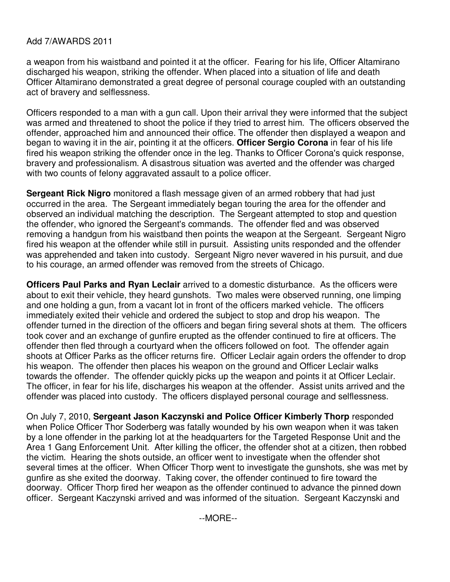## Add 7/AWARDS 2011

a weapon from his waistband and pointed it at the officer. Fearing for his life, Officer Altamirano discharged his weapon, striking the offender. When placed into a situation of life and death Officer Altamirano demonstrated a great degree of personal courage coupled with an outstanding act of bravery and selflessness.

Officers responded to a man with a gun call. Upon their arrival they were informed that the subject was armed and threatened to shoot the police if they tried to arrest him. The officers observed the offender, approached him and announced their office. The offender then displayed a weapon and began to waving it in the air, pointing it at the officers. **Officer Sergio Corona** in fear of his life fired his weapon striking the offender once in the leg. Thanks to Officer Corona's quick response, bravery and professionalism. A disastrous situation was averted and the offender was charged with two counts of felony aggravated assault to a police officer.

**Sergeant Rick Nigro** monitored a flash message given of an armed robbery that had just occurred in the area. The Sergeant immediately began touring the area for the offender and observed an individual matching the description. The Sergeant attempted to stop and question the offender, who ignored the Sergeant's commands. The offender fled and was observed removing a handgun from his waistband then points the weapon at the Sergeant. Sergeant Nigro fired his weapon at the offender while still in pursuit. Assisting units responded and the offender was apprehended and taken into custody. Sergeant Nigro never wavered in his pursuit, and due to his courage, an armed offender was removed from the streets of Chicago.

**Officers Paul Parks and Ryan Leclair** arrived to a domestic disturbance. As the officers were about to exit their vehicle, they heard gunshots. Two males were observed running, one limping and one holding a gun, from a vacant lot in front of the officers marked vehicle. The officers immediately exited their vehicle and ordered the subject to stop and drop his weapon. The offender turned in the direction of the officers and began firing several shots at them. The officers took cover and an exchange of gunfire erupted as the offender continued to fire at officers. The offender then fled through a courtyard when the officers followed on foot. The offender again shoots at Officer Parks as the officer returns fire. Officer Leclair again orders the offender to drop his weapon. The offender then places his weapon on the ground and Officer Leclair walks towards the offender. The offender quickly picks up the weapon and points it at Officer Leclair. The officer, in fear for his life, discharges his weapon at the offender. Assist units arrived and the offender was placed into custody. The officers displayed personal courage and selflessness.

On July 7, 2010, **Sergeant Jason Kaczynski and Police Officer Kimberly Thorp** responded when Police Officer Thor Soderberg was fatally wounded by his own weapon when it was taken by a lone offender in the parking lot at the headquarters for the Targeted Response Unit and the Area 1 Gang Enforcement Unit. After killing the officer, the offender shot at a citizen, then robbed the victim. Hearing the shots outside, an officer went to investigate when the offender shot several times at the officer. When Officer Thorp went to investigate the gunshots, she was met by gunfire as she exited the doorway. Taking cover, the offender continued to fire toward the doorway. Officer Thorp fired her weapon as the offender continued to advance the pinned down officer. Sergeant Kaczynski arrived and was informed of the situation. Sergeant Kaczynski and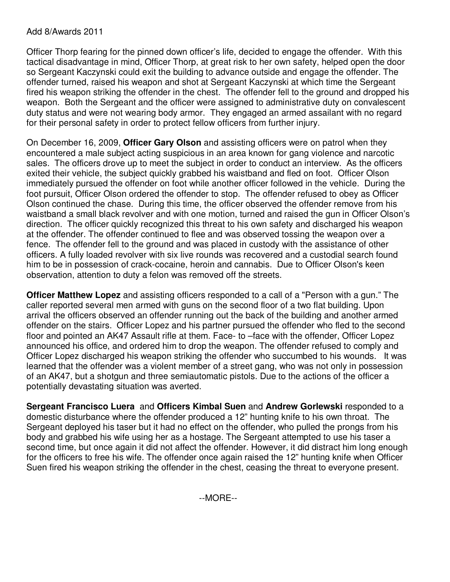### Add 8/Awards 2011

Officer Thorp fearing for the pinned down officer's life, decided to engage the offender. With this tactical disadvantage in mind, Officer Thorp, at great risk to her own safety, helped open the door so Sergeant Kaczynski could exit the building to advance outside and engage the offender. The offender turned, raised his weapon and shot at Sergeant Kaczynski at which time the Sergeant fired his weapon striking the offender in the chest. The offender fell to the ground and dropped his weapon. Both the Sergeant and the officer were assigned to administrative duty on convalescent duty status and were not wearing body armor. They engaged an armed assailant with no regard for their personal safety in order to protect fellow officers from further injury.

On December 16, 2009, **Officer Gary Olson** and assisting officers were on patrol when they encountered a male subject acting suspicious in an area known for gang violence and narcotic sales. The officers drove up to meet the subject in order to conduct an interview. As the officers exited their vehicle, the subject quickly grabbed his waistband and fled on foot. Officer Olson immediately pursued the offender on foot while another officer followed in the vehicle. During the foot pursuit, Officer Olson ordered the offender to stop. The offender refused to obey as Officer Olson continued the chase. During this time, the officer observed the offender remove from his waistband a small black revolver and with one motion, turned and raised the gun in Officer Olson's direction. The officer quickly recognized this threat to his own safety and discharged his weapon at the offender. The offender continued to flee and was observed tossing the weapon over a fence. The offender fell to the ground and was placed in custody with the assistance of other officers. A fully loaded revolver with six live rounds was recovered and a custodial search found him to be in possession of crack-cocaine, heroin and cannabis. Due to Officer Olson's keen observation, attention to duty a felon was removed off the streets.

**Officer Matthew Lopez** and assisting officers responded to a call of a "Person with a gun." The caller reported several men armed with guns on the second floor of a two flat building. Upon arrival the officers observed an offender running out the back of the building and another armed offender on the stairs. Officer Lopez and his partner pursued the offender who fled to the second floor and pointed an AK47 Assault rifle at them. Face- to –face with the offender, Officer Lopez announced his office, and ordered him to drop the weapon. The offender refused to comply and Officer Lopez discharged his weapon striking the offender who succumbed to his wounds. It was learned that the offender was a violent member of a street gang, who was not only in possession of an AK47, but a shotgun and three semiautomatic pistols. Due to the actions of the officer a potentially devastating situation was averted.

**Sergeant Francisco Luera** and **Officers Kimbal Suen** and **Andrew Gorlewski** responded to a domestic disturbance where the offender produced a 12" hunting knife to his own throat. The Sergeant deployed his taser but it had no effect on the offender, who pulled the prongs from his body and grabbed his wife using her as a hostage. The Sergeant attempted to use his taser a second time, but once again it did not affect the offender. However, it did distract him long enough for the officers to free his wife. The offender once again raised the 12" hunting knife when Officer Suen fired his weapon striking the offender in the chest, ceasing the threat to everyone present.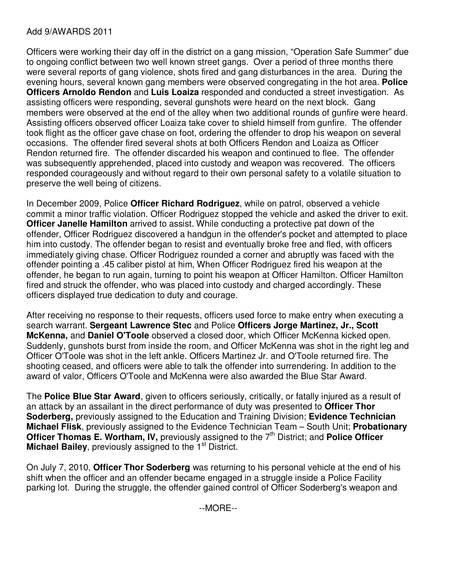## Add 9/AWARDS 2011

Officers were working their day off in the district on a gang mission, "Operation Safe Summer" due to ongoing conflict between two well known street gangs. Over a period of three months there were several reports of gang violence, shots fired and gang disturbances in the area. During the evening hours, several known gang members were observed congregating in the hot area. **Police Officers Arnoldo Rendon** and **Luis Loaiza** responded and conducted a street investigation. As assisting officers were responding, several gunshots were heard on the next block. Gang members were observed at the end of the alley when two additional rounds of gunfire were heard. Assisting officers observed officer Loaiza take cover to shield himself from gunfire. The offender took flight as the officer gave chase on foot, ordering the offender to drop his weapon on several occasions. The offender fired several shots at both Officers Rendon and Loaiza as Officer Rendon returned fire. The offender discarded his weapon and continued to flee. The offender was subsequently apprehended, placed into custody and weapon was recovered. The officers responded courageously and without regard to their own personal safety to a volatile situation to preserve the well being of citizens.

In December 2009, Police **Officer Richard Rodriguez**, while on patrol, observed a vehicle commit a minor traffic violation. Officer Rodriguez stopped the vehicle and asked the driver to exit. **Officer Janelle Hamilton** arrived to assist. While conducting a protective pat down of the offender, Officer Rodriguez discovered a handgun in the offender's pocket and attempted to place him into custody. The offender began to resist and eventually broke free and fled, with officers immediately giving chase. Officer Rodriguez rounded a corner and abruptly was faced with the offender pointing a .45 caliber pistol at him, When Officer Rodriguez fired his weapon at the offender, he began to run again, turning to point his weapon at Officer Hamilton. Officer Hamilton fired and struck the offender, who was placed into custody and charged accordingly. These officers displayed true dedication to duty and courage.

After receiving no response to their requests, officers used force to make entry when executing a search warrant. **Sergeant Lawrence Stec** and Police **Officers Jorge Martinez, Jr., Scott McKenna,** and **Daniel O'Toole** observed a closed door, which Officer McKenna kicked open. Suddenly, gunshots burst from inside the room, and Officer McKenna was shot in the right leg and Officer O'Toole was shot in the left ankle. Officers Martinez Jr. and O'Toole returned fire. The shooting ceased, and officers were able to talk the offender into surrendering. In addition to the award of valor, Officers O'Toole and McKenna were also awarded the Blue Star Award.

The **Police Blue Star Award**, given to officers seriously, critically, or fatally injured as a result of an attack by an assailant in the direct performance of duty was presented to **Officer Thor Soderberg,** previously assigned to the Education and Training Division; **Evidence Technician Michael Flisk**, previously assigned to the Evidence Technician Team – South Unit; **Probationary Officer Thomas E. Wortham, IV, previously assigned to the 7<sup>th</sup> District; and Police Officer Michael Bailey**, previously assigned to the 1<sup>st</sup> District.

On July 7, 2010, **Officer Thor Soderberg** was returning to his personal vehicle at the end of his shift when the officer and an offender became engaged in a struggle inside a Police Facility parking lot. During the struggle, the offender gained control of Officer Soderberg's weapon and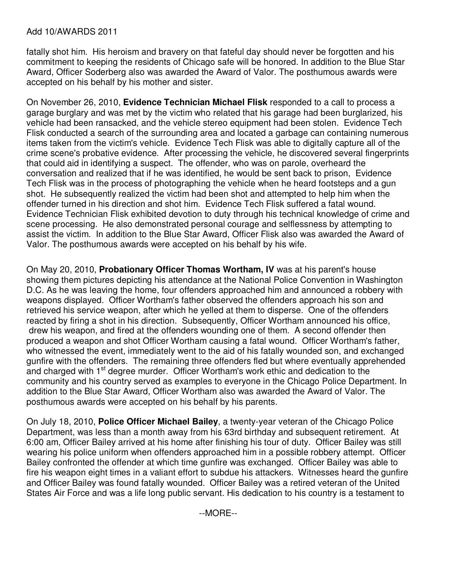#### Add 10/AWARDS 2011

fatally shot him. His heroism and bravery on that fateful day should never be forgotten and his commitment to keeping the residents of Chicago safe will be honored. In addition to the Blue Star Award, Officer Soderberg also was awarded the Award of Valor. The posthumous awards were accepted on his behalf by his mother and sister.

On November 26, 2010, **Evidence Technician Michael Flisk** responded to a call to process a garage burglary and was met by the victim who related that his garage had been burglarized, his vehicle had been ransacked, and the vehicle stereo equipment had been stolen. Evidence Tech Flisk conducted a search of the surrounding area and located a garbage can containing numerous items taken from the victim's vehicle. Evidence Tech Flisk was able to digitally capture all of the crime scene's probative evidence. After processing the vehicle, he discovered several fingerprints that could aid in identifying a suspect. The offender, who was on parole, overheard the conversation and realized that if he was identified, he would be sent back to prison, Evidence Tech Flisk was in the process of photographing the vehicle when he heard footsteps and a gun shot. He subsequently realized the victim had been shot and attempted to help him when the offender turned in his direction and shot him. Evidence Tech Flisk suffered a fatal wound. Evidence Technician Flisk exhibited devotion to duty through his technical knowledge of crime and scene processing. He also demonstrated personal courage and selflessness by attempting to assist the victim. In addition to the Blue Star Award, Officer Flisk also was awarded the Award of Valor. The posthumous awards were accepted on his behalf by his wife.

On May 20, 2010, **Probationary Officer Thomas Wortham, IV** was at his parent's house showing them pictures depicting his attendance at the National Police Convention in Washington D.C. As he was leaving the home, four offenders approached him and announced a robbery with weapons displayed. Officer Wortham's father observed the offenders approach his son and retrieved his service weapon, after which he yelled at them to disperse. One of the offenders reacted by firing a shot in his direction. Subsequently, Officer Wortham announced his office, drew his weapon, and fired at the offenders wounding one of them. A second offender then produced a weapon and shot Officer Wortham causing a fatal wound. Officer Wortham's father, who witnessed the event, immediately went to the aid of his fatally wounded son, and exchanged gunfire with the offenders. The remaining three offenders fled but where eventually apprehended and charged with 1<sup>st</sup> degree murder. Officer Wortham's work ethic and dedication to the community and his country served as examples to everyone in the Chicago Police Department. In addition to the Blue Star Award, Officer Wortham also was awarded the Award of Valor. The posthumous awards were accepted on his behalf by his parents.

On July 18, 2010, **Police Officer Michael Bailey**, a twenty-year veteran of the Chicago Police Department, was less than a month away from his 63rd birthday and subsequent retirement. At 6:00 am, Officer Bailey arrived at his home after finishing his tour of duty. Officer Bailey was still wearing his police uniform when offenders approached him in a possible robbery attempt. Officer Bailey confronted the offender at which time gunfire was exchanged. Officer Bailey was able to fire his weapon eight times in a valiant effort to subdue his attackers. Witnesses heard the gunfire and Officer Bailey was found fatally wounded. Officer Bailey was a retired veteran of the United States Air Force and was a life long public servant. His dedication to his country is a testament to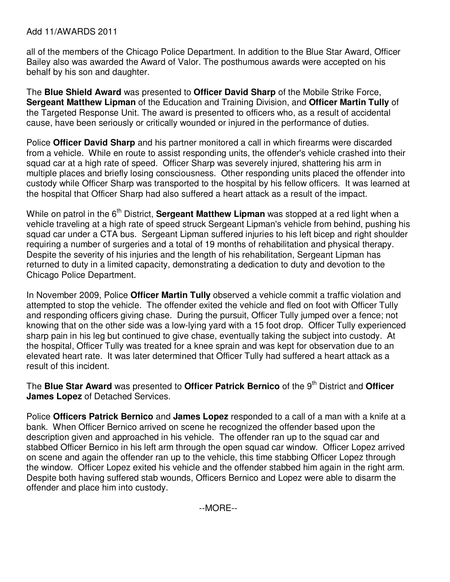#### Add 11/AWARDS 2011

all of the members of the Chicago Police Department. In addition to the Blue Star Award, Officer Bailey also was awarded the Award of Valor. The posthumous awards were accepted on his behalf by his son and daughter.

The **Blue Shield Award** was presented to **Officer David Sharp** of the Mobile Strike Force, **Sergeant Matthew Lipman** of the Education and Training Division, and **Officer Martin Tully** of the Targeted Response Unit. The award is presented to officers who, as a result of accidental cause, have been seriously or critically wounded or injured in the performance of duties.

Police **Officer David Sharp** and his partner monitored a call in which firearms were discarded from a vehicle. While en route to assist responding units, the offender's vehicle crashed into their squad car at a high rate of speed. Officer Sharp was severely injured, shattering his arm in multiple places and briefly losing consciousness. Other responding units placed the offender into custody while Officer Sharp was transported to the hospital by his fellow officers. It was learned at the hospital that Officer Sharp had also suffered a heart attack as a result of the impact.

While on patrol in the 6<sup>th</sup> District, **Sergeant Matthew Lipman** was stopped at a red light when a vehicle traveling at a high rate of speed struck Sergeant Lipman's vehicle from behind, pushing his squad car under a CTA bus. Sergeant Lipman suffered injuries to his left bicep and right shoulder requiring a number of surgeries and a total of 19 months of rehabilitation and physical therapy. Despite the severity of his injuries and the length of his rehabilitation, Sergeant Lipman has returned to duty in a limited capacity, demonstrating a dedication to duty and devotion to the Chicago Police Department.

In November 2009, Police **Officer Martin Tully** observed a vehicle commit a traffic violation and attempted to stop the vehicle. The offender exited the vehicle and fled on foot with Officer Tully and responding officers giving chase. During the pursuit, Officer Tully jumped over a fence; not knowing that on the other side was a low-lying yard with a 15 foot drop. Officer Tully experienced sharp pain in his leg but continued to give chase, eventually taking the subject into custody. At the hospital, Officer Tully was treated for a knee sprain and was kept for observation due to an elevated heart rate. It was later determined that Officer Tully had suffered a heart attack as a result of this incident.

The Blue Star Award was presented to Officer Patrick Bernico of the 9<sup>th</sup> District and Officer **James Lopez** of Detached Services.

Police **Officers Patrick Bernico** and **James Lopez** responded to a call of a man with a knife at a bank. When Officer Bernico arrived on scene he recognized the offender based upon the description given and approached in his vehicle. The offender ran up to the squad car and stabbed Officer Bernico in his left arm through the open squad car window. Officer Lopez arrived on scene and again the offender ran up to the vehicle, this time stabbing Officer Lopez through the window. Officer Lopez exited his vehicle and the offender stabbed him again in the right arm. Despite both having suffered stab wounds, Officers Bernico and Lopez were able to disarm the offender and place him into custody.